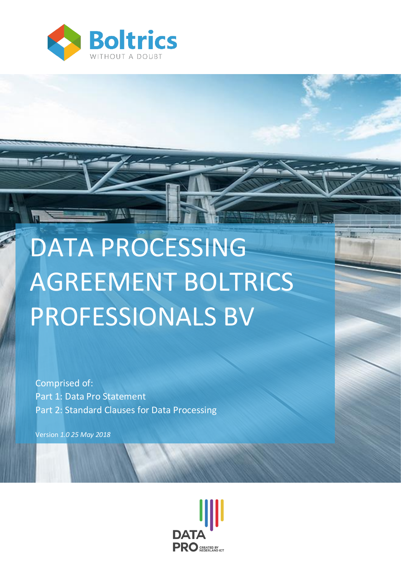

# DATA PROCESSING AGREEMENT BOLTRICS PROFESSIONALS BV

Comprised of: Part 1: Data Pro Statement Part 2: Standard Clauses for Data Processing

 Version *1.0 25 May 2018*

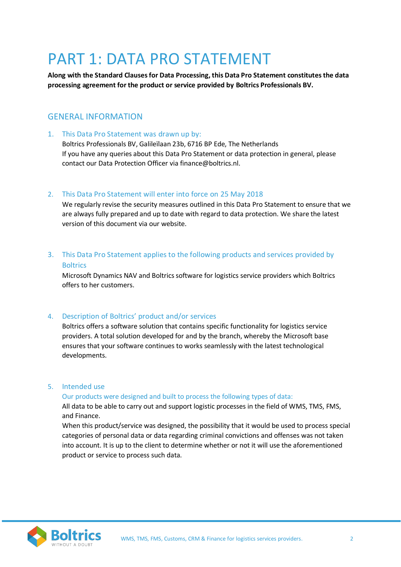# PART 1: DATA PRO STATEMENT

**Along with the Standard Clauses for Data Processing, this Data Pro Statement constitutes the data processing agreement for the product or service provided by Boltrics Professionals BV.**

### GENERAL INFORMATION

1. This Data Pro Statement was drawn up by:

Boltrics Professionals BV, Galileïlaan 23b, 6716 BP Ede, The Netherlands If you have any queries about this Data Pro Statement or data protection in general, please contact our Data Protection Officer via finance@boltrics.nl.

#### 2. This Data Pro Statement will enter into force on 25 May 2018

We regularly revise the security measures outlined in this Data Pro Statement to ensure that we are always fully prepared and up to date with regard to data protection. We share the latest version of this document via our website.

3. This Data Pro Statement applies to the following products and services provided by **Boltrics** 

Microsoft Dynamics NAV and Boltrics software for logistics service providers which Boltrics offers to her customers.

#### 4. Description of Boltrics' product and/or services

Boltrics offers a software solution that contains specific functionality for logistics service providers. A total solution developed for and by the branch, whereby the Microsoft base ensures that your software continues to works seamlessly with the latest technological developments.

#### 5. Intended use

#### Our products were designed and built to process the following types of data:

All data to be able to carry out and support logistic processes in the field of WMS, TMS, FMS, and Finance.

When this product/service was designed, the possibility that it would be used to process special categories of personal data or data regarding criminal convictions and offenses was not taken into account. It is up to the client to determine whether or not it will use the aforementioned product or service to process such data.

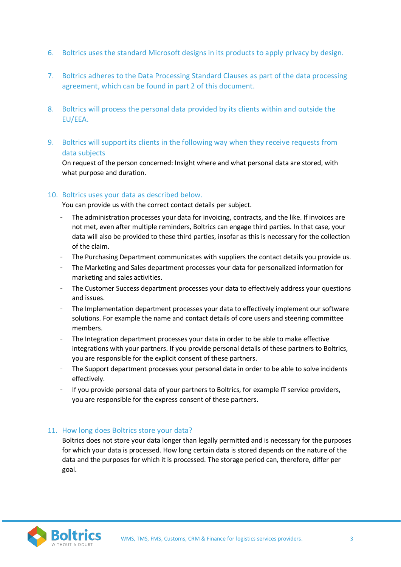- 6. Boltrics uses the standard Microsoft designs in its products to apply privacy by design.
- 7. Boltrics adheres to the Data Processing Standard Clauses as part of the data processing agreement, which can be found in part 2 of this document.
- 8. Boltrics will process the personal data provided by its clients within and outside the EU/EEA.
- 9. Boltrics will support its clients in the following way when they receive requests from data subjects

On request of the person concerned: Insight where and what personal data are stored, with what purpose and duration.

#### 10. Boltrics uses your data as described below.

You can provide us with the correct contact details per subject.

- The administration processes your data for invoicing, contracts, and the like. If invoices are not met, even after multiple reminders, Boltrics can engage third parties. In that case, your data will also be provided to these third parties, insofar as this is necessary for the collection of the claim.
- The Purchasing Department communicates with suppliers the contact details you provide us.
- The Marketing and Sales department processes your data for personalized information for marketing and sales activities.
- The Customer Success department processes your data to effectively address your questions and issues.
- The Implementation department processes your data to effectively implement our software solutions. For example the name and contact details of core users and steering committee members.
- The Integration department processes your data in order to be able to make effective integrations with your partners. If you provide personal details of these partners to Boltrics, you are responsible for the explicit consent of these partners.
- The Support department processes your personal data in order to be able to solve incidents effectively.
- If you provide personal data of your partners to Boltrics, for example IT service providers, you are responsible for the express consent of these partners.

#### 11. How long does Boltrics store your data?

Boltrics does not store your data longer than legally permitted and is necessary for the purposes for which your data is processed. How long certain data is stored depends on the nature of the data and the purposes for which it is processed. The storage period can, therefore, differ per goal.

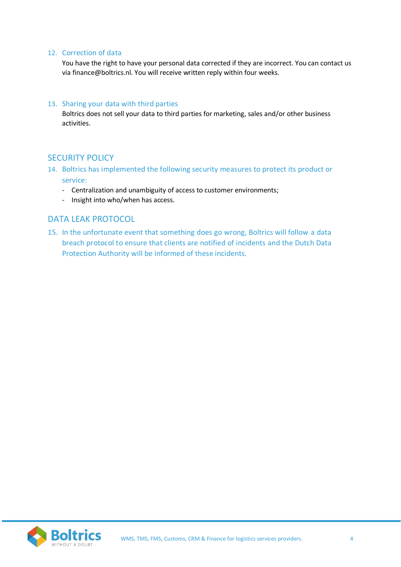#### 12. Correction of data

You have the right to have your personal data corrected if they are incorrect. You can contact us via finance@boltrics.nl. You will receive written reply within four weeks.

#### 13. Sharing your data with third parties

Boltrics does not sell your data to third parties for marketing, sales and/or other business activities.

#### SECURITY POLICY

- 14. Boltrics has implemented the following security measures to protect its product or service:
	- Centralization and unambiguity of access to customer environments;
	- Insight into who/when has access.

# DATA LEAK PROTOCOL

15. In the unfortunate event that something does go wrong, Boltrics will follow a data breach protocol to ensure that clients are notified of incidents and the Dutch Data Protection Authority will be informed of these incidents.

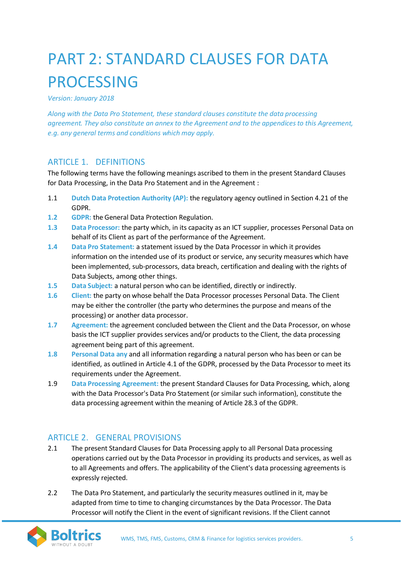# PART 2: STANDARD CLAUSES FOR DATA PROCESSING

*Version: January 2018*

*Along with the Data Pro Statement, these standard clauses constitute the data processing agreement. They also constitute an annex to the Agreement and to the appendices to this Agreement, e.g. any general terms and conditions which may apply.*

# ARTICLE 1. DEFINITIONS

The following terms have the following meanings ascribed to them in the present Standard Clauses for Data Processing, in the Data Pro Statement and in the Agreement :

- 1.1 **Dutch Data Protection Authority (AP):** the regulatory agency outlined in Section 4.21 of the GDPR.
- **1.2 GDPR:** the General Data Protection Regulation.
- **1.3 Data Processor:** the party which, in its capacity as an ICT supplier, processes Personal Data on behalf of its Client as part of the performance of the Agreement.
- **1.4 Data Pro Statement:** a statement issued by the Data Processor in which it provides information on the intended use of its product or service, any security measures which have been implemented, sub-processors, data breach, certification and dealing with the rights of Data Subjects, among other things.
- **1.5 Data Subject:** a natural person who can be identified, directly or indirectly.
- **1.6 Client:** the party on whose behalf the Data Processor processes Personal Data. The Client may be either the controller (the party who determines the purpose and means of the processing) or another data processor.
- **1.7 Agreement:** the agreement concluded between the Client and the Data Processor, on whose basis the ICT supplier provides services and/or products to the Client, the data processing agreement being part of this agreement.
- **1.8 Personal Data any** and all information regarding a natural person who has been or can be identified, as outlined in Article 4.1 of the GDPR, processed by the Data Processor to meet its requirements under the Agreement.
- 1.9 **Data Processing Agreement:** the present Standard Clauses for Data Processing, which, along with the Data Processor's Data Pro Statement (or similar such information), constitute the data processing agreement within the meaning of Article 28.3 of the GDPR.

# ARTICLE 2. GENERAL PROVISIONS

- 2.1 The present Standard Clauses for Data Processing apply to all Personal Data processing operations carried out by the Data Processor in providing its products and services, as well as to all Agreements and offers. The applicability of the Client's data processing agreements is expressly rejected.
- 2.2 The Data Pro Statement, and particularly the security measures outlined in it, may be adapted from time to time to changing circumstances by the Data Processor. The Data Processor will notify the Client in the event of significant revisions. If the Client cannot

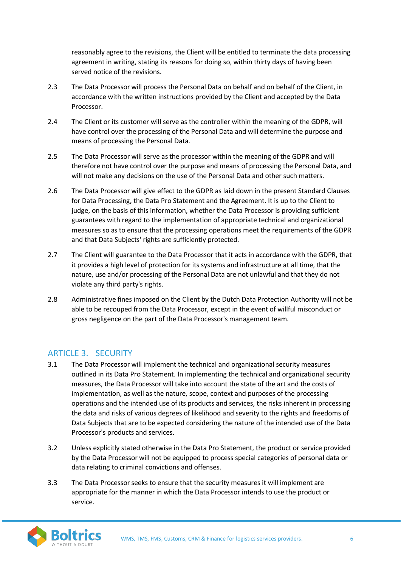reasonably agree to the revisions, the Client will be entitled to terminate the data processing agreement in writing, stating its reasons for doing so, within thirty days of having been served notice of the revisions.

- 2.3 The Data Processor will process the Personal Data on behalf and on behalf of the Client, in accordance with the written instructions provided by the Client and accepted by the Data Processor.
- 2.4 The Client or its customer will serve as the controller within the meaning of the GDPR, will have control over the processing of the Personal Data and will determine the purpose and means of processing the Personal Data.
- 2.5 The Data Processor will serve as the processor within the meaning of the GDPR and will therefore not have control over the purpose and means of processing the Personal Data, and will not make any decisions on the use of the Personal Data and other such matters.
- 2.6 The Data Processor will give effect to the GDPR as laid down in the present Standard Clauses for Data Processing, the Data Pro Statement and the Agreement. It is up to the Client to judge, on the basis of this information, whether the Data Processor is providing sufficient guarantees with regard to the implementation of appropriate technical and organizational measures so as to ensure that the processing operations meet the requirements of the GDPR and that Data Subjects' rights are sufficiently protected.
- 2.7 The Client will guarantee to the Data Processor that it acts in accordance with the GDPR, that it provides a high level of protection for its systems and infrastructure at all time, that the nature, use and/or processing of the Personal Data are not unlawful and that they do not violate any third party's rights.
- 2.8 Administrative fines imposed on the Client by the Dutch Data Protection Authority will not be able to be recouped from the Data Processor, except in the event of willful misconduct or gross negligence on the part of the Data Processor's management team.

### ARTICLE 3. SECURITY

- 3.1 The Data Processor will implement the technical and organizational security measures outlined in its Data Pro Statement. In implementing the technical and organizational security measures, the Data Processor will take into account the state of the art and the costs of implementation, as well as the nature, scope, context and purposes of the processing operations and the intended use of its products and services, the risks inherent in processing the data and risks of various degrees of likelihood and severity to the rights and freedoms of Data Subjects that are to be expected considering the nature of the intended use of the Data Processor's products and services.
- 3.2 Unless explicitly stated otherwise in the Data Pro Statement, the product or service provided by the Data Processor will not be equipped to process special categories of personal data or data relating to criminal convictions and offenses.
- 3.3 The Data Processor seeks to ensure that the security measures it will implement are appropriate for the manner in which the Data Processor intends to use the product or service.

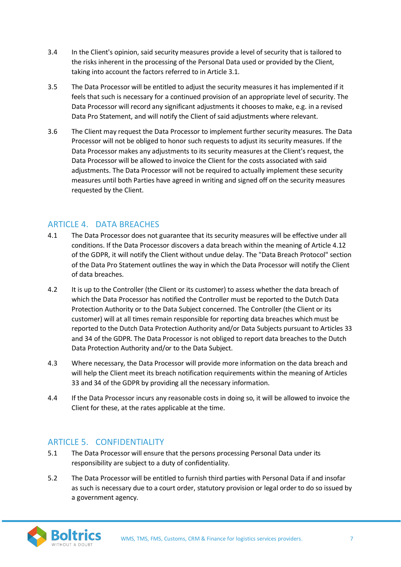- 3.4 In the Client's opinion, said security measures provide a level of security that is tailored to the risks inherent in the processing of the Personal Data used or provided by the Client, taking into account the factors referred to in Article 3.1.
- 3.5 The Data Processor will be entitled to adjust the security measures it has implemented if it feels that such is necessary for a continued provision of an appropriate level of security. The Data Processor will record any significant adjustments it chooses to make, e.g. in a revised Data Pro Statement, and will notify the Client of said adjustments where relevant.
- 3.6 The Client may request the Data Processor to implement further security measures. The Data Processor will not be obliged to honor such requests to adjust its security measures. If the Data Processor makes any adjustments to its security measures at the Client's request, the Data Processor will be allowed to invoice the Client for the costs associated with said adjustments. The Data Processor will not be required to actually implement these security measures until both Parties have agreed in writing and signed off on the security measures requested by the Client.

# ARTICLE 4. DATA BREACHES

- 4.1 The Data Processor does not guarantee that its security measures will be effective under all conditions. If the Data Processor discovers a data breach within the meaning of Article 4.12 of the GDPR, it will notify the Client without undue delay. The "Data Breach Protocol" section of the Data Pro Statement outlines the way in which the Data Processor will notify the Client of data breaches.
- 4.2 It is up to the Controller (the Client or its customer) to assess whether the data breach of which the Data Processor has notified the Controller must be reported to the Dutch Data Protection Authority or to the Data Subject concerned. The Controller (the Client or its customer) will at all times remain responsible for reporting data breaches which must be reported to the Dutch Data Protection Authority and/or Data Subjects pursuant to Articles 33 and 34 of the GDPR. The Data Processor is not obliged to report data breaches to the Dutch Data Protection Authority and/or to the Data Subject.
- 4.3 Where necessary, the Data Processor will provide more information on the data breach and will help the Client meet its breach notification requirements within the meaning of Articles 33 and 34 of the GDPR by providing all the necessary information.
- 4.4 If the Data Processor incurs any reasonable costs in doing so, it will be allowed to invoice the Client for these, at the rates applicable at the time.

# ARTICLE 5. CONFIDENTIALITY

- 5.1 The Data Processor will ensure that the persons processing Personal Data under its responsibility are subject to a duty of confidentiality.
- 5.2 The Data Processor will be entitled to furnish third parties with Personal Data if and insofar as such is necessary due to a court order, statutory provision or legal order to do so issued by a government agency.

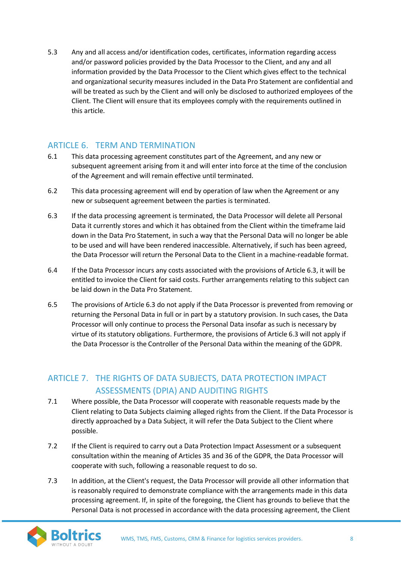5.3 Any and all access and/or identification codes, certificates, information regarding access and/or password policies provided by the Data Processor to the Client, and any and all information provided by the Data Processor to the Client which gives effect to the technical and organizational security measures included in the Data Pro Statement are confidential and will be treated as such by the Client and will only be disclosed to authorized employees of the Client. The Client will ensure that its employees comply with the requirements outlined in this article.

# ARTICLE 6. TERM AND TERMINATION

- 6.1 This data processing agreement constitutes part of the Agreement, and any new or subsequent agreement arising from it and will enter into force at the time of the conclusion of the Agreement and will remain effective until terminated.
- 6.2 This data processing agreement will end by operation of law when the Agreement or any new or subsequent agreement between the parties is terminated.
- 6.3 If the data processing agreement is terminated, the Data Processor will delete all Personal Data it currently stores and which it has obtained from the Client within the timeframe laid down in the Data Pro Statement, in such a way that the Personal Data will no longer be able to be used and will have been rendered inaccessible. Alternatively, if such has been agreed, the Data Processor will return the Personal Data to the Client in a machine-readable format.
- 6.4 If the Data Processor incurs any costs associated with the provisions of Article 6.3, it will be entitled to invoice the Client for said costs. Further arrangements relating to this subject can be laid down in the Data Pro Statement.
- 6.5 The provisions of Article 6.3 do not apply if the Data Processor is prevented from removing or returning the Personal Data in full or in part by a statutory provision. In such cases, the Data Processor will only continue to process the Personal Data insofar as such is necessary by virtue of its statutory obligations. Furthermore, the provisions of Article 6.3 will not apply if the Data Processor is the Controller of the Personal Data within the meaning of the GDPR.

# ARTICLE 7. THE RIGHTS OF DATA SUBJECTS, DATA PROTECTION IMPACT ASSESSMENTS (DPIA) AND AUDITING RIGHTS

- 7.1 Where possible, the Data Processor will cooperate with reasonable requests made by the Client relating to Data Subjects claiming alleged rights from the Client. If the Data Processor is directly approached by a Data Subject, it will refer the Data Subject to the Client where possible.
- 7.2 If the Client is required to carry out a Data Protection Impact Assessment or a subsequent consultation within the meaning of Articles 35 and 36 of the GDPR, the Data Processor will cooperate with such, following a reasonable request to do so.
- 7.3 In addition, at the Client's request, the Data Processor will provide all other information that is reasonably required to demonstrate compliance with the arrangements made in this data processing agreement. If, in spite of the foregoing, the Client has grounds to believe that the Personal Data is not processed in accordance with the data processing agreement, the Client